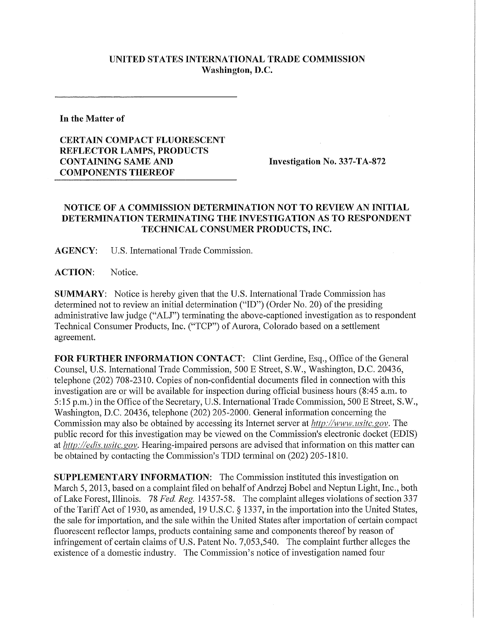## **UNITED STATES INTERNATIONAL TRADE COMMISSION Washington, D.C.**

**In the Matter of** 

## **CERTAIN COMPACT FLUORESCENT REFLECTOR LAMPS, PRODUCTS CONTAINING SAME AND Investigation No.** 337**-TA**-872 **COMPONENTS THEREOF**

## **NOTICE OF A COMMISSION DETERMINATION NOT TO REVIEW AN INITIAL DETERMINATION TERMINATING THE INVESTIGATION AS TO RESPONDENT TECHNICAL CONSUMER PRODUCTS, INC.**

**AGENCY:** U.S. International Trade Commission.

**ACTION:** Notice.

**SUMMARY:** Notice is hereby given that the U.S. International Trade Commission has determined not to review an initial determination ("ID") (Order No. 20) of the presiding administrative law judge ("ALJ") terminating the above-captioned investigation as to respondent Technical Consumer Products, Inc. ("TCP") of Aurora, Colorado based on a settlement agreement.

FOR FURTHER INFORMATION CONTACT: Clint Gerdine, Esq., Office of the General Counsel, U.S. International Trade Commission, 500 E Street, S.W., Washington, D.C. 20436, telephone (202) 708-2310. Copies of non-confidential documents filed in connection with this investigation are or will be available for inspection during official business hours (8:45 a.m. to 5:15 p.m.) in the Office of the Secretary, U.S. International Trade Commission, 500 E Street, S.W., Washington, D.C. 20436, telephone (202) 205-2000. General information concerning the Commission may also be obtained by accessing its Internet server at *http://www, usitc.gov.* The public record for this investigation may be viewed on the Commission's electronic docket (EDIS) at *http://edis. usitc. gov.* Hearing-impaired persons are advised that information on this matter can be obtained by contacting the Commission's TDD terminal on (202) 205-1810.

**SUPPLEMENTARY INFORMATION:** The Commission instituted this investigation on March 5, 2013, based on a complaint filed on behalf of Andrzej Bobel and Neptun Light, Inc., both of Lake Forest, Illinois. 78 *Fed. Reg.* 14357-58. The complaint alleges violations of section 337 of the Tariff Act of 1930, as amended, 19 U.S.C. § 1337, in the importation into the United States, the sale for importation, and the sale within the United States after importation of certain compact fluorescent reflector lamps, products containing same and components thereof by reason of infringement of certain claims of U.S. Patent No. 7,053,540. The complaint further alleges the existence of a domestic industry. The Commission's notice of investigation named four